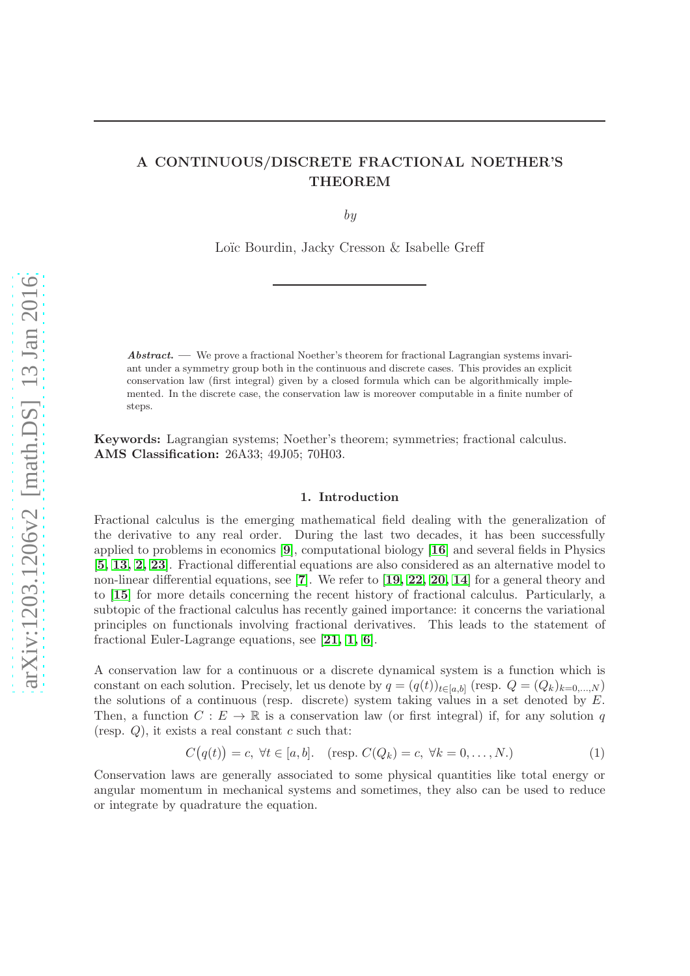# A CONTINUOUS/DISCRETE FRACTIONAL NOETHER'S THEOREM

by

Loïc Bourdin, Jacky Cresson & Isabelle Greff

Abstract. — We prove a fractional Noether's theorem for fractional Lagrangian systems invariant under a symmetry group both in the continuous and discrete cases. This provides an explicit conservation law (first integral) given by a closed formula which can be algorithmically implemented. In the discrete case, the conservation law is moreover computable in a finite number of steps.

Keywords: Lagrangian systems; Noether's theorem; symmetries; fractional calculus. AMS Classification: 26A33; 49J05; 70H03.

## 1. Introduction

Fractional calculus is the emerging mathematical field dealing with the generalization of the derivative to any real order. During the last two decades, it has been successfully applied to problems in economics [[9](#page-12-0)], computational biology [[16](#page-12-1)] and several fields in Physics [[5,](#page-12-2) [13,](#page-12-3) [2,](#page-12-4) [23](#page-13-0)]. Fractional differential equations are also considered as an alternative model to non-linear differential equations, see [[7](#page-12-5)]. We refer to [[19,](#page-12-6) [22,](#page-13-1) [20,](#page-13-2) [14](#page-12-7)] for a general theory and to [[15](#page-12-8)] for more details concerning the recent history of fractional calculus. Particularly, a subtopic of the fractional calculus has recently gained importance: it concerns the variational principles on functionals involving fractional derivatives. This leads to the statement of fractional Euler-Lagrange equations, see [[21,](#page-13-3) [1,](#page-12-9) [6](#page-12-10)].

A conservation law for a continuous or a discrete dynamical system is a function which is constant on each solution. Precisely, let us denote by  $q = (q(t))_{t \in [a,b]}$  (resp.  $Q = (Q_k)_{k=0,\dots,N}$ ) the solutions of a continuous (resp. discrete) system taking values in a set denoted by  $E$ . Then, a function  $C : E \to \mathbb{R}$  is a conservation law (or first integral) if, for any solution q (resp.  $Q$ ), it exists a real constant  $c$  such that:

$$
C(q(t)) = c, \forall t \in [a, b]. \quad (\text{resp. } C(Q_k) = c, \forall k = 0, \dots, N). \tag{1}
$$

Conservation laws are generally associated to some physical quantities like total energy or angular momentum in mechanical systems and sometimes, they also can be used to reduce or integrate by quadrature the equation.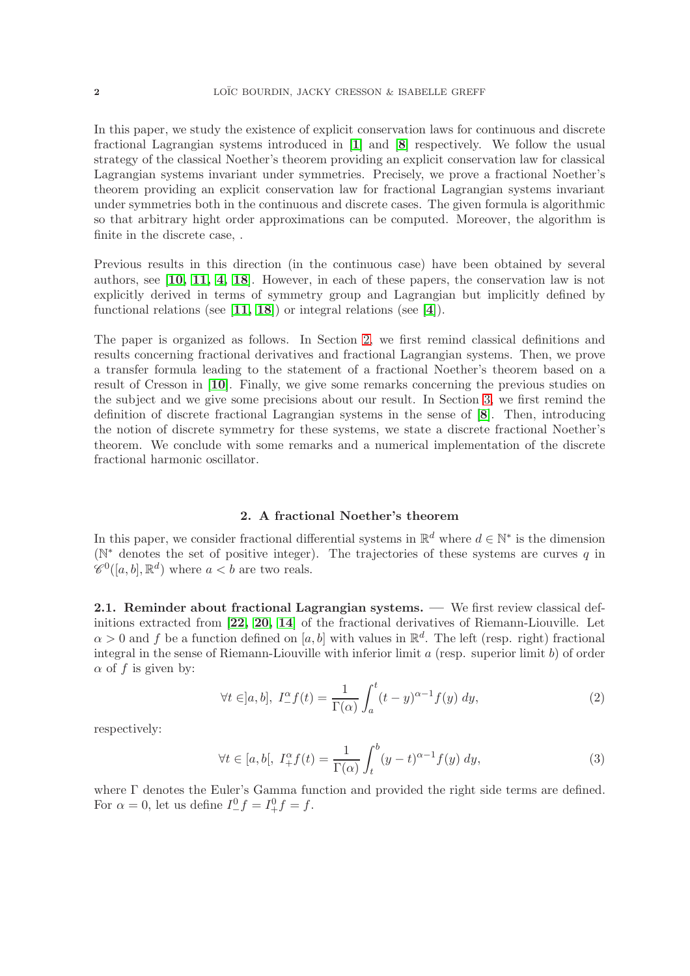In this paper, we study the existence of explicit conservation laws for continuous and discrete fractional Lagrangian systems introduced in [[1](#page-12-9)] and [[8](#page-12-11)] respectively. We follow the usual strategy of the classical Noether's theorem providing an explicit conservation law for classical Lagrangian systems invariant under symmetries. Precisely, we prove a fractional Noether's theorem providing an explicit conservation law for fractional Lagrangian systems invariant under symmetries both in the continuous and discrete cases. The given formula is algorithmic so that arbitrary hight order approximations can be computed. Moreover, the algorithm is finite in the discrete case, .

Previous results in this direction (in the continuous case) have been obtained by several authors, see [[10,](#page-12-12) [11,](#page-12-13) [4,](#page-12-14) [18](#page-12-15)]. However, in each of these papers, the conservation law is not explicitly derived in terms of symmetry group and Lagrangian but implicitly defined by functional relations (see  $[11, 18]$  $[11, 18]$  $[11, 18]$  $[11, 18]$ ) or integral relations (see  $[4]$  $[4]$  $[4]$ ).

The paper is organized as follows. In Section [2,](#page-1-0) we first remind classical definitions and results concerning fractional derivatives and fractional Lagrangian systems. Then, we prove a transfer formula leading to the statement of a fractional Noether's theorem based on a result of Cresson in [[10](#page-12-12)]. Finally, we give some remarks concerning the previous studies on the subject and we give some precisions about our result. In Section [3,](#page-6-0) we first remind the definition of discrete fractional Lagrangian systems in the sense of [[8](#page-12-11)]. Then, introducing the notion of discrete symmetry for these systems, we state a discrete fractional Noether's theorem. We conclude with some remarks and a numerical implementation of the discrete fractional harmonic oscillator.

## 2. A fractional Noether's theorem

<span id="page-1-0"></span>In this paper, we consider fractional differential systems in  $\mathbb{R}^d$  where  $d \in \mathbb{N}^*$  is the dimension ( $\mathbb{N}^*$  denotes the set of positive integer). The trajectories of these systems are curves q in  $\mathscr{C}^0([a, b], \mathbb{R}^d)$  where  $a < b$  are two reals.

2.1. Reminder about fractional Lagrangian systems. — We first review classical definitions extracted from [[22,](#page-13-1) [20,](#page-13-2) [14](#page-12-7)] of the fractional derivatives of Riemann-Liouville. Let  $\alpha > 0$  and f be a function defined on [a, b] with values in  $\mathbb{R}^d$ . The left (resp. right) fractional integral in the sense of Riemann-Liouville with inferior limit  $a$  (resp. superior limit  $b$ ) of order  $\alpha$  of f is given by:

$$
\forall t \in ]a, b], \ I_{-}^{\alpha} f(t) = \frac{1}{\Gamma(\alpha)} \int_{a}^{t} (t - y)^{\alpha - 1} f(y) \, dy,\tag{2}
$$

respectively:

$$
\forall t \in [a, b[, \ I_+^{\alpha} f(t) = \frac{1}{\Gamma(\alpha)} \int_t^b (y - t)^{\alpha - 1} f(y) \ dy,
$$
\n
$$
(3)
$$

where Γ denotes the Euler's Gamma function and provided the right side terms are defined. For  $\alpha = 0$ , let us define  $I^0_- f = I^0_+ f = f$ .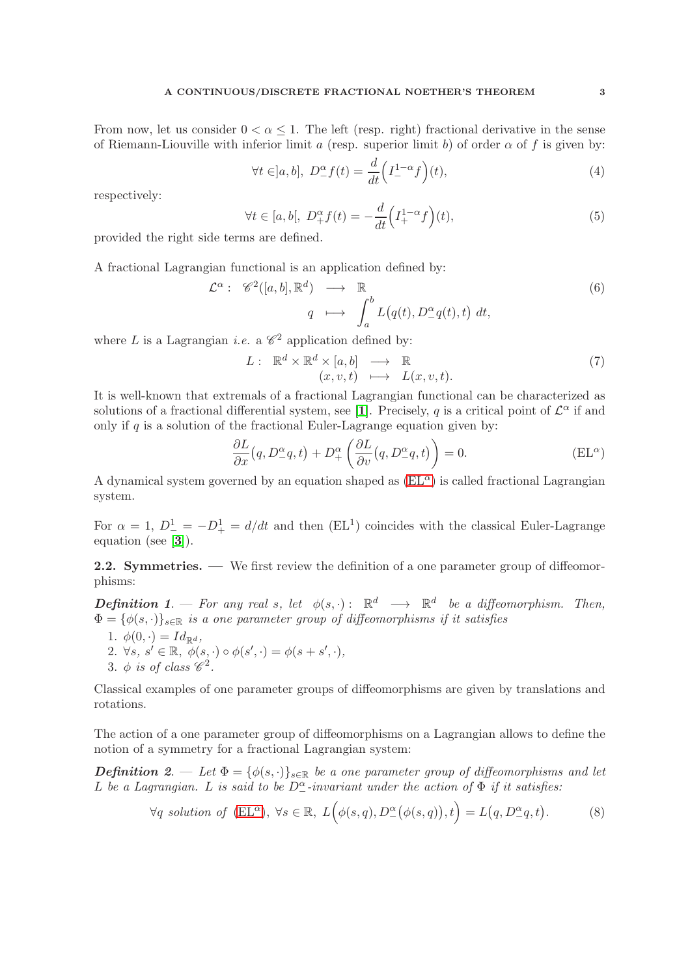From now, let us consider  $0 < \alpha \leq 1$ . The left (resp. right) fractional derivative in the sense of Riemann-Liouville with inferior limit a (resp. superior limit b) of order  $\alpha$  of f is given by:

$$
\forall t \in ]a, b], \ D_-^{\alpha} f(t) = \frac{d}{dt} \left( I_-^{1-\alpha} f \right)(t), \tag{4}
$$

respectively:

$$
\forall t \in [a, b[, \ D_+^{\alpha} f(t) = -\frac{d}{dt} \left( I_+^{1-\alpha} f \right)(t),\tag{5}
$$

provided the right side terms are defined.

A fractional Lagrangian functional is an application defined by:

$$
\mathcal{L}^{\alpha}: \mathscr{C}^{2}([a,b], \mathbb{R}^{d}) \longrightarrow \mathbb{R}
$$
  

$$
q \longmapsto \int_{a}^{b} L(q(t), D_{-}^{\alpha}q(t), t) dt,
$$
 (6)

where L is a Lagrangian *i.e.* a  $\mathscr{C}^2$  application defined by:

$$
L: \mathbb{R}^d \times \mathbb{R}^d \times [a, b] \longrightarrow \mathbb{R}
$$
  

$$
(x, v, t) \longmapsto L(x, v, t).
$$
 (7)

It is well-known that extremals of a fractional Lagrangian functional can be characterized as solutions of a fractional differential system, see [[1](#page-12-9)]. Precisely, q is a critical point of  $\mathcal{L}^{\alpha}$  if and only if  $q$  is a solution of the fractional Euler-Lagrange equation given by:

<span id="page-2-0"></span>
$$
\frac{\partial L}{\partial x}(q, D^{\alpha}_{-}q, t) + D^{\alpha}_{+} \left( \frac{\partial L}{\partial v}(q, D^{\alpha}_{-}q, t) \right) = 0.
$$
 (EL<sup>\alpha</sup>)

A dynamical system governed by an equation shaped as  $(EL^{\alpha})$  is called fractional Lagrangian system.

For  $\alpha = 1$ ,  $D^1_- = -D^1_+ = d/dt$  and then (EL<sup>1</sup>) coincides with the classical Euler-Lagrange equation (see [[3](#page-12-16)]).

2.2. Symmetries. — We first review the definition of a one parameter group of diffeomorphisms:

**Definition 1**. — For any real s, let  $\phi(s, \cdot)$ :  $\mathbb{R}^d \longrightarrow \mathbb{R}^d$  be a diffeomorphism. Then,  $\Phi = {\phi(s, \cdot)}_{s \in \mathbb{R}}$  is a one parameter group of diffeomorphisms if it satisfies

- 1.  $\phi(0, \cdot) = Id_{\mathbb{R}^d}$ ,
- 2.  $\forall s, s' \in \mathbb{R}, \phi(s, \cdot) \circ \phi(s', \cdot) = \phi(s + s', \cdot),$
- 3.  $\phi$  is of class  $\mathscr{C}^2$ .

Classical examples of one parameter groups of diffeomorphisms are given by translations and rotations.

The action of a one parameter group of diffeomorphisms on a Lagrangian allows to define the notion of a symmetry for a fractional Lagrangian system:

**Definition** 2. — Let  $\Phi = {\phi(s, \cdot)}_{s \in \mathbb{R}}$  be a one parameter group of diffeomorphisms and let L be a Lagrangian. L is said to be  $D_{-}^{\alpha}$ -invariant under the action of  $\Phi$  if it satisfies:

$$
\forall q \text{ solution of } (EL^{\alpha}), \ \forall s \in \mathbb{R}, \ L(\phi(s,q), D^{\alpha}_{-}(\phi(s,q)), t) = L(q, D^{\alpha}_{-}q, t). \tag{8}
$$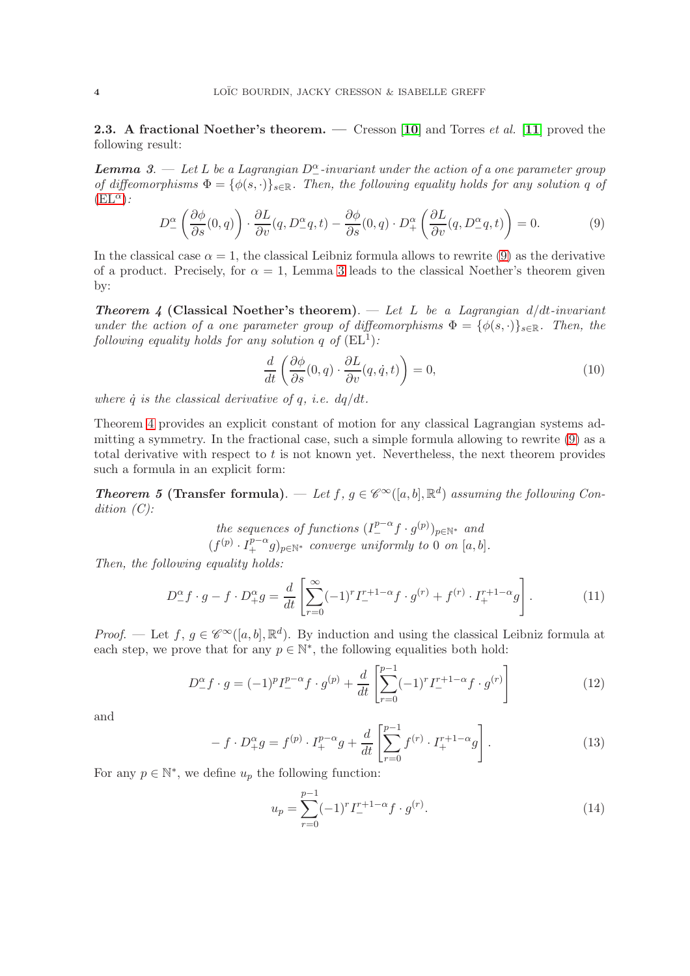<span id="page-3-3"></span>**2.3.** A fractional Noether's theorem. — Cresson [[10](#page-12-12)] and Torres *et al.* [[11](#page-12-13)] proved the following result:

**Lemma** 3.  $\overline{\phantom{a}}$  Let L be a Lagrangian  $D_{-}^{\alpha}$ -invariant under the action of a one parameter group of diffeomorphisms  $\Phi = {\phi(s, \cdot)}_{s \in \mathbb{R}}$ . Then, the following equality holds for any solution q of  $(EL^{\alpha})$  $(EL^{\alpha})$ :

<span id="page-3-0"></span>
$$
D_{-}^{\alpha} \left( \frac{\partial \phi}{\partial s}(0, q) \right) \cdot \frac{\partial L}{\partial v}(q, D_{-}^{\alpha} q, t) - \frac{\partial \phi}{\partial s}(0, q) \cdot D_{+}^{\alpha} \left( \frac{\partial L}{\partial v}(q, D_{-}^{\alpha} q, t) \right) = 0. \tag{9}
$$

In the classical case  $\alpha = 1$ , the classical Leibniz formula allows to rewrite [\(9\)](#page-3-0) as the derivative of a product. Precisely, for  $\alpha = 1$ , Lemma 3 leads to the classical Noether's theorem given by:

**Theorem 4 (Classical Noether's theorem).** — Let L be a Lagrangian  $d/dt$ -invariant under the action of a one parameter group of diffeomorphisms  $\Phi = {\phi(s, \cdot)}_{s \in \mathbb{R}}$ . Then, the following equality holds for any solution q of  $(EL^1)$ :

$$
\frac{d}{dt}\left(\frac{\partial\phi}{\partial s}(0,q)\cdot\frac{\partial L}{\partial v}(q,\dot{q},t)\right) = 0,\tag{10}
$$

where  $\dot{q}$  is the classical derivative of q, i.e.  $dq/dt$ .

Theorem 4 provides an explicit constant of motion for any classical Lagrangian systems admitting a symmetry. In the fractional case, such a simple formula allowing to rewrite [\(9\)](#page-3-0) as a total derivative with respect to  $t$  is not known yet. Nevertheless, the next theorem provides such a formula in an explicit form:

**Theorem 5 (Transfer formula).** — Let  $f, g \in \mathscr{C}^{\infty}([a, b], \mathbb{R}^d)$  assuming the following Condition  $(C)$ :

the sequences of functions 
$$
(I_{-}^{p-\alpha}f \cdot g^{(p)})_{p \in \mathbb{N}^*}
$$
 and  $(f^{(p)} \cdot I_{+}^{p-\alpha}g)_{p \in \mathbb{N}^*}$  converge uniformly to 0 on [a, b].

Then, the following equality holds:

<span id="page-3-2"></span>
$$
D_{-}^{\alpha}f \cdot g - f \cdot D_{+}^{\alpha}g = \frac{d}{dt} \left[ \sum_{r=0}^{\infty} (-1)^{r} I_{-}^{r+1-\alpha} f \cdot g^{(r)} + f^{(r)} \cdot I_{+}^{r+1-\alpha} g \right].
$$
 (11)

*Proof.* — Let  $f, g \in \mathscr{C}^{\infty}([a, b], \mathbb{R}^d)$ . By induction and using the classical Leibniz formula at each step, we prove that for any  $p \in \mathbb{N}^*$ , the following equalities both hold:

<span id="page-3-1"></span>
$$
D_{-}^{\alpha}f \cdot g = (-1)^{p}I_{-}^{p-\alpha}f \cdot g^{(p)} + \frac{d}{dt} \left[ \sum_{r=0}^{p-1} (-1)^{r} I_{-}^{r+1-\alpha}f \cdot g^{(r)} \right]
$$
(12)

and

$$
- f \cdot D_+^{\alpha} g = f^{(p)} \cdot I_+^{p-\alpha} g + \frac{d}{dt} \left[ \sum_{r=0}^{p-1} f^{(r)} \cdot I_+^{r+1-\alpha} g \right]. \tag{13}
$$

For any  $p \in \mathbb{N}^*$ , we define  $u_p$  the following function:

$$
u_p = \sum_{r=0}^{p-1} (-1)^r I^{r+1-\alpha}_- f \cdot g^{(r)}.
$$
 (14)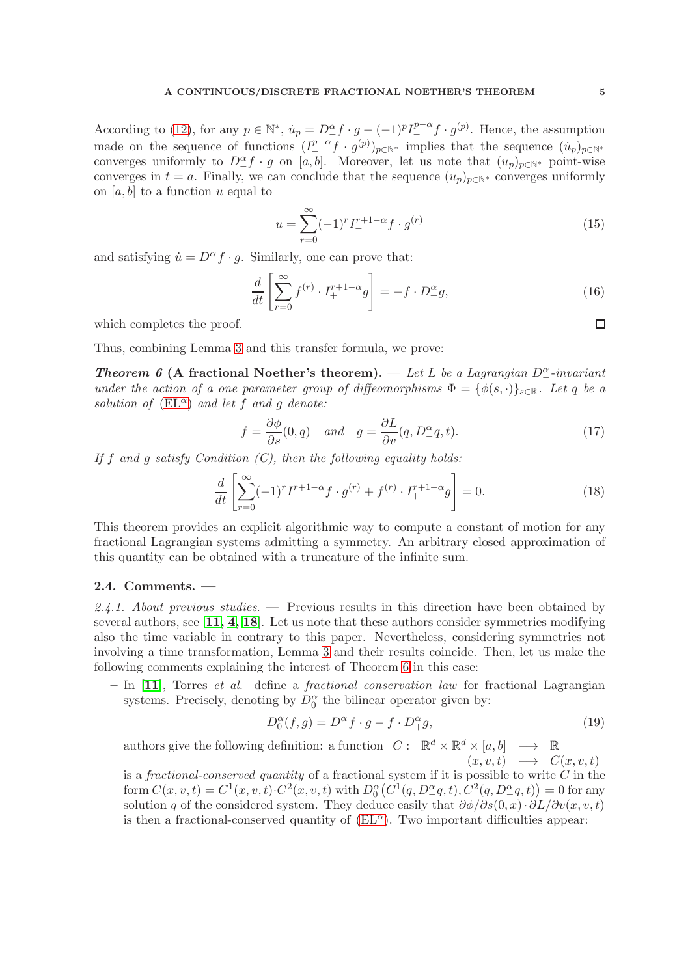According to [\(12\)](#page-3-1), for any  $p \in \mathbb{N}^*$ ,  $\dot{u}_p = D^{\alpha}_{-} f \cdot g - (-1)^p I^{p-\alpha}_{-} f \cdot g^{(p)}$ . Hence, the assumption made on the sequence of functions  $(I_{-}^{p-\alpha}f\cdot g^{(p)})_{p\in\mathbb{N}^*}$  implies that the sequence  $(i_p)_{p\in\mathbb{N}^*}$ converges uniformly to  $D_{-}^{\alpha}f \cdot g$  on [a, b]. Moreover, let us note that  $(u_p)_{p\in\mathbb{N}^*}$  point-wise converges in  $t = a$ . Finally, we can conclude that the sequence  $(u_p)_{p \in \mathbb{N}^*}$  converges uniformly on [a, b] to a function u equal to

$$
u = \sum_{r=0}^{\infty} (-1)^r I_-^{r+1-\alpha} f \cdot g^{(r)}
$$
\n(15)

and satisfying  $\dot{u} = D^{\alpha}_{-} f \cdot g$ . Similarly, one can prove that:

$$
\frac{d}{dt} \left[ \sum_{r=0}^{\infty} f^{(r)} \cdot I_+^{r+1-\alpha} g \right] = -f \cdot D_+^{\alpha} g,\tag{16}
$$

which completes the proof.

Thus, combining Lemma 3 and this transfer formula, we prove:

**Theorem 6 (A fractional Noether's theorem).** — Let L be a Lagrangian  $D_{-}^{\alpha}$ -invariant under the action of a one parameter group of diffeomorphisms  $\Phi = {\phi(s, \cdot)}_{s \in \mathbb{R}}$ . Let q be a solution of  $(EL^{\alpha})$  $(EL^{\alpha})$  and let f and g denote:

$$
f = \frac{\partial \phi}{\partial s}(0, q) \quad and \quad g = \frac{\partial L}{\partial v}(q, D^{\alpha}_{-}q, t). \tag{17}
$$

If  $f$  and  $g$  satisfy Condition  $(C)$ , then the following equality holds:

<span id="page-4-0"></span>
$$
\frac{d}{dt} \left[ \sum_{r=0}^{\infty} (-1)^r I^{r+1-\alpha}_- f \cdot g^{(r)} + f^{(r)} \cdot I^{r+1-\alpha}_+ g \right] = 0. \tag{18}
$$

This theorem provides an explicit algorithmic way to compute a constant of motion for any fractional Lagrangian systems admitting a symmetry. An arbitrary closed approximation of this quantity can be obtained with a truncature of the infinite sum.

### <span id="page-4-1"></span>2.4. Comments. —

2.4.1. About previous studies.  $\overline{ }$  Previous results in this direction have been obtained by several authors, see  $\left[11, 4, 18\right]$  $\left[11, 4, 18\right]$  $\left[11, 4, 18\right]$  $\left[11, 4, 18\right]$  $\left[11, 4, 18\right]$ . Let us note that these authors consider symmetries modifying also the time variable in contrary to this paper. Nevertheless, considering symmetries not involving a time transformation, Lemma 3 and their results coincide. Then, let us make the following comments explaining the interest of Theorem 6 in this case:

 $-$  In [[11](#page-12-13)], Torres *et al.* define a *fractional conservation law* for fractional Lagrangian systems. Precisely, denoting by  $D_0^{\alpha}$  the bilinear operator given by:

$$
D_0^{\alpha}(f,g) = D_-^{\alpha}f \cdot g - f \cdot D_+^{\alpha}g,\tag{19}
$$

authors give the following definition: a function  $C: \mathbb{R}^d \times \mathbb{R}^d \times [a, b] \longrightarrow \mathbb{R}$  $(x, v, t) \rightarrow C(x, v, t)$ 

is a fractional-conserved quantity of a fractional system if it is possible to write  $\overline{C}$  in the form  $C(x, v, t) = C^{1}(x, v, t) \cdot C^{2}(x, v, t)$  with  $D_{0}^{\alpha}(C^{1}(q, D_{-}^{\alpha}q, t), C^{2}(q, D_{-}^{\alpha}q, t)) = 0$  for any solution q of the considered system. They deduce easily that  $\partial \phi / \partial s(0, x) \cdot \partial L / \partial v(x, v, t)$ is then a fractional-conserved quantity of  $(EL^{\alpha})$ . Two important difficulties appear: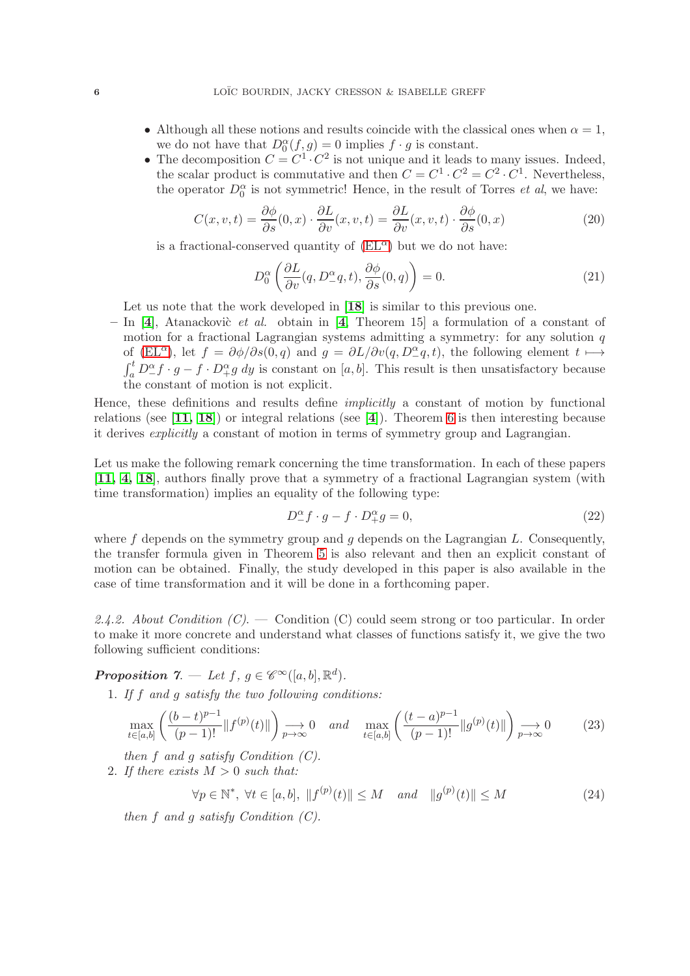- Although all these notions and results coincide with the classical ones when  $\alpha = 1$ , we do not have that  $D_0^{\alpha}(f,g) = 0$  implies  $f \cdot g$  is constant.
- The decomposition  $C = C^1 \cdot C^2$  is not unique and it leads to many issues. Indeed, the scalar product is commutative and then  $C = C^1 \cdot C^2 = C^2 \cdot C^1$ . Nevertheless, the operator  $D_0^{\alpha}$  is not symmetric! Hence, in the result of Torres *et al*, we have:

$$
C(x, v, t) = \frac{\partial \phi}{\partial s}(0, x) \cdot \frac{\partial L}{\partial v}(x, v, t) = \frac{\partial L}{\partial v}(x, v, t) \cdot \frac{\partial \phi}{\partial s}(0, x)
$$
(20)

is a fractional-conserved quantity of  $(EL^{\alpha})$  but we do not have:

$$
D_0^{\alpha} \left( \frac{\partial L}{\partial v}(q, D_-^{\alpha} q, t), \frac{\partial \phi}{\partial s}(0, q) \right) = 0.
$$
 (21)

Let us note that the work developed in [[18](#page-12-15)] is similar to this previous one.

– In [[4](#page-12-14)], Atanackovic *et al.* obtain in [4, Theorem 15] a formulation of a constant of motion for a fractional Lagrangian systems admitting a symmetry: for any solution  $q$ of [\(EL](#page-2-0)<sup> $\alpha$ </sup>), let  $f = \partial \phi / \partial s(0, q)$  and  $g = \partial L / \partial v(q, D_2^{\alpha}, t)$ , the following element  $t \mapsto$  $\int_a^t D^{\alpha}_{-} f \cdot g - f \cdot D^{\alpha}_{+} g dy$  is constant on [a, b]. This result is then unsatisfactory because the constant of motion is not explicit.

Hence, these definitions and results define implicitly a constant of motion by functional relations (see  $\vert 11, 18 \vert$  $\vert 11, 18 \vert$  $\vert 11, 18 \vert$  $\vert 11, 18 \vert$ ) or integral relations (see  $\vert 4 \vert$  $\vert 4 \vert$  $\vert 4 \vert$ ). Theorem 6 is then interesting because it derives explicitly a constant of motion in terms of symmetry group and Lagrangian.

Let us make the following remark concerning the time transformation. In each of these papers [[11,](#page-12-13) [4,](#page-12-14) [18](#page-12-15)], authors finally prove that a symmetry of a fractional Lagrangian system (with time transformation) implies an equality of the following type:

$$
D_{-}^{\alpha}f \cdot g - f \cdot D_{+}^{\alpha}g = 0, \qquad (22)
$$

where  $f$  depends on the symmetry group and  $g$  depends on the Lagrangian  $L$ . Consequently, the transfer formula given in Theorem 5 is also relevant and then an explicit constant of motion can be obtained. Finally, the study developed in this paper is also available in the case of time transformation and it will be done in a forthcoming paper.

2.4.2. About Condition  $(C)$ . — Condition  $(C)$  could seem strong or too particular. In order to make it more concrete and understand what classes of functions satisfy it, we give the two following sufficient conditions:

**Proposition 7.** — Let  $f, g \in \mathscr{C}^{\infty}([a, b], \mathbb{R}^d)$ .

1. If f and g satisfy the two following conditions:

$$
\max_{t \in [a,b]} \left( \frac{(b-t)^{p-1}}{(p-1)!} \| f^{(p)}(t) \| \right) \underset{p \to \infty}{\longrightarrow} 0 \quad \text{and} \quad \max_{t \in [a,b]} \left( \frac{(t-a)^{p-1}}{(p-1)!} \| g^{(p)}(t) \| \right) \underset{p \to \infty}{\longrightarrow} 0 \tag{23}
$$

then  $f$  and  $g$  satisfy Condition  $(C)$ .

2. If there exists  $M > 0$  such that:

$$
\forall p \in \mathbb{N}^*, \ \forall t \in [a, b], \ \|f^{(p)}(t)\| \le M \quad \text{and} \quad \|g^{(p)}(t)\| \le M \tag{24}
$$

then  $f$  and  $g$  satisfy Condition  $(C)$ .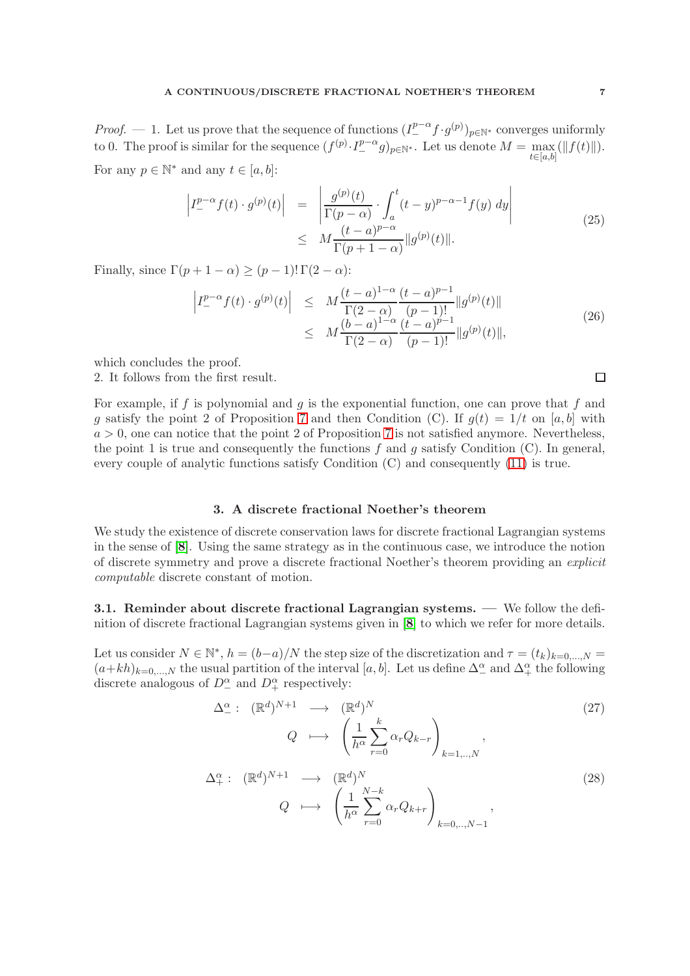*Proof.* — 1. Let us prove that the sequence of functions  $(I_{-}^{p-\alpha} f \cdot g^{(p)})_{p \in \mathbb{N}^*}$  converges uniformly to 0. The proof is similar for the sequence  $(f^{(p)} \cdot I^{p-\alpha}_- g)_{p \in \mathbb{N}^*}$ . Let us denote  $M = \max_{t \in [t_1, t_2]} (||f(t)||)$ .  $t \in [a,b]$ For any  $p \in \mathbb{N}^*$  and any  $t \in [a, b]$ :

$$
\left| I_{-}^{p-\alpha} f(t) \cdot g^{(p)}(t) \right| = \left| \frac{g^{(p)}(t)}{\Gamma(p-\alpha)} \cdot \int_{a}^{t} (t-y)^{p-\alpha-1} f(y) \, dy \right|
$$
\n
$$
\leq M \frac{(t-a)^{p-\alpha}}{\Gamma(p+1-\alpha)} \| g^{(p)}(t) \|.
$$
\n(25)

Finally, since  $\Gamma(p+1-\alpha) > (p-1)! \Gamma(2-\alpha)$ :

$$
\left| I_{-}^{p-\alpha} f(t) \cdot g^{(p)}(t) \right| \leq M \frac{(t-a)^{1-\alpha}}{\Gamma(2-\alpha)} \frac{(t-a)^{p-1}}{(p-1)!} \| g^{(p)}(t) \|
$$
  
 
$$
\leq M \frac{(b-a)^{1-\alpha}}{\Gamma(2-\alpha)} \frac{(t-a)^{p-1}}{(p-1)!} \| g^{(p)}(t) \|,
$$
 (26)

which concludes the proof.

2. It follows from the first result.

For example, if f is polynomial and  $g$  is the exponential function, one can prove that  $f$  and g satisfy the point 2 of Proposition 7 and then Condition (C). If  $g(t) = 1/t$  on [a, b] with  $a > 0$ , one can notice that the point 2 of Proposition 7 is not satisfied anymore. Nevertheless, the point 1 is true and consequently the functions  $f$  and  $g$  satisfy Condition (C). In general, every couple of analytic functions satisfy Condition (C) and consequently [\(11\)](#page-3-2) is true.

## 3. A discrete fractional Noether's theorem

<span id="page-6-0"></span>We study the existence of discrete conservation laws for discrete fractional Lagrangian systems in the sense of [[8](#page-12-11)]. Using the same strategy as in the continuous case, we introduce the notion of discrete symmetry and prove a discrete fractional Noether's theorem providing an explicit computable discrete constant of motion.

3.1. Reminder about discrete fractional Lagrangian systems. — We follow the definition of discrete fractional Lagrangian systems given in [[8](#page-12-11)] to which we refer for more details.

Let us consider  $N \in \mathbb{N}^*$ ,  $h = (b-a)/N$  the step size of the discretization and  $\tau = (t_k)_{k=0,\dots,N}$  $(a+kh)_{k=0,\dots,N}$  the usual partition of the interval  $[a, b]$ . Let us define  $\Delta_{-}^{\alpha}$  and  $\Delta_{+}^{\alpha}$  the following discrete analogous of  $D^{\alpha}_{-}$  and  $D^{\alpha}_{+}$  respectively:

$$
\Delta_{-}^{\alpha}: (\mathbb{R}^{d})^{N+1} \longrightarrow (\mathbb{R}^{d})^{N}
$$
\n
$$
Q \longrightarrow \left(\frac{1}{h^{\alpha}} \sum_{r=0}^{k} \alpha_{r} Q_{k-r}\right)_{k=1,..,N},
$$
\n
$$
\Delta_{+}^{\alpha}: (\mathbb{R}^{d})^{N+1} \longrightarrow (\mathbb{R}^{d})^{N}
$$
\n
$$
Q \longrightarrow \left(\frac{1}{h^{\alpha}} \sum_{r=0}^{N-k} \alpha_{r} Q_{k+r}\right)_{k=0,..,N-1},
$$
\n(28)

 $\Box$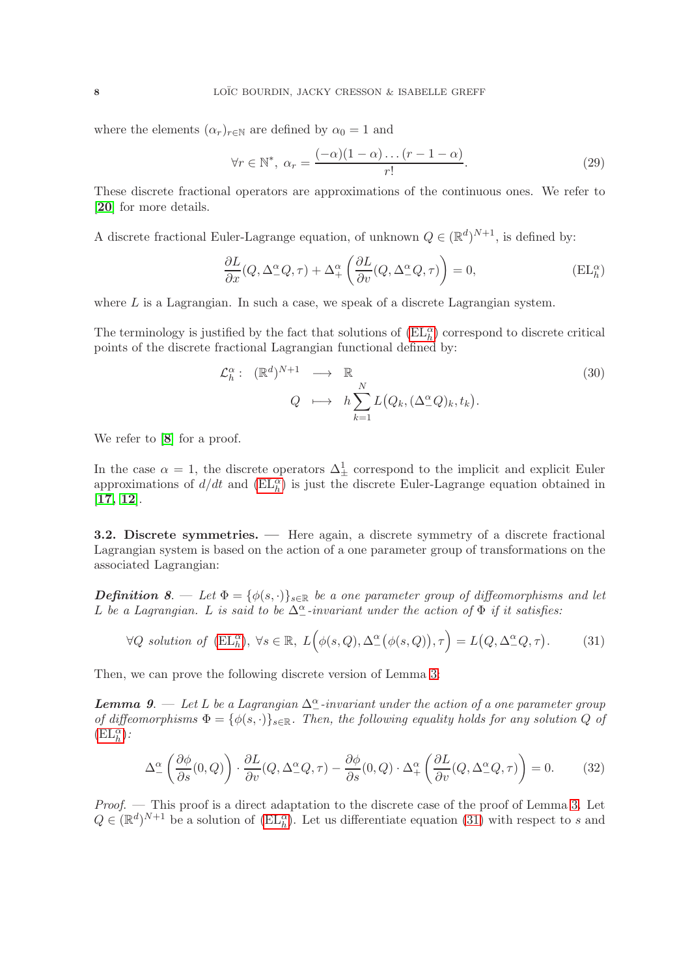where the elements  $(\alpha_r)_{r \in \mathbb{N}}$  are defined by  $\alpha_0 = 1$  and

$$
\forall r \in \mathbb{N}^*, \ \alpha_r = \frac{(-\alpha)(1-\alpha)\dots(r-1-\alpha)}{r!}.\tag{29}
$$

These discrete fractional operators are approximations of the continuous ones. We refer to [[20](#page-13-2)] for more details.

A discrete fractional Euler-Lagrange equation, of unknown  $Q \in (\mathbb{R}^d)^{N+1}$ , is defined by:

<span id="page-7-0"></span>
$$
\frac{\partial L}{\partial x}(Q, \Delta^{\alpha}_{-}Q, \tau) + \Delta^{\alpha}_{+} \left( \frac{\partial L}{\partial v}(Q, \Delta^{\alpha}_{-}Q, \tau) \right) = 0, \tag{EL}^{\alpha}_{h}
$$

where  $L$  is a Lagrangian. In such a case, we speak of a discrete Lagrangian system.

The terminology is justified by the fact that solutions of  $(\mathrm{EL}_{h}^{\alpha})$  correspond to discrete critical points of the discrete fractional Lagrangian functional defined by:

$$
\mathcal{L}_h^{\alpha} : (\mathbb{R}^d)^{N+1} \longrightarrow \mathbb{R}
$$
  

$$
Q \longrightarrow h \sum_{k=1}^N L(Q_k, (\Delta_{-\alpha}^{\alpha} Q)_k, t_k).
$$
 (30)

We refer to  $[8]$  $[8]$  $[8]$  for a proof.

In the case  $\alpha = 1$ , the discrete operators  $\Delta^1_{\pm}$  correspond to the implicit and explicit Euler approximations of  $d/dt$  and  $(EL<sub>h</sub><sup>\alpha</sup>)$  is just the discrete Euler-Lagrange equation obtained in [[17,](#page-12-17) [12](#page-12-18)].

3.2. Discrete symmetries. — Here again, a discrete symmetry of a discrete fractional Lagrangian system is based on the action of a one parameter group of transformations on the associated Lagrangian:

**Definition 8.** — Let  $\Phi = {\phi(s, \cdot)}_{s \in \mathbb{R}}$  be a one parameter group of diffeomorphisms and let L be a Lagrangian. L is said to be  $\Delta_{-}^{\alpha}$ -invariant under the action of  $\Phi$  if it satisfies:

<span id="page-7-1"></span>
$$
\forall Q \text{ solution of } (\mathbf{EL}_h^{\alpha}), \ \forall s \in \mathbb{R}, \ L\Big(\phi(s, Q), \Delta^{\alpha}(\phi(s, Q)), \tau\Big) = L\big(Q, \Delta^{\alpha}Q, \tau\big). \tag{31}
$$

Then, we can prove the following discrete version of Lemma 3:

**Lemma 9.**  $\rightarrow$  Let L be a Lagrangian  $\Delta^{\alpha}_{-}$ -invariant under the action of a one parameter group of diffeomorphisms  $\Phi = {\phi(s, \cdot)}_{s \in \mathbb{R}}$ . Then, the following equality holds for any solution Q of  $(\mathrm{EL}_h^{\alpha})$ :

<span id="page-7-2"></span>
$$
\Delta_{-}^{\alpha} \left( \frac{\partial \phi}{\partial s}(0, Q) \right) \cdot \frac{\partial L}{\partial v}(Q, \Delta_{-}^{\alpha} Q, \tau) - \frac{\partial \phi}{\partial s}(0, Q) \cdot \Delta_{+}^{\alpha} \left( \frac{\partial L}{\partial v}(Q, \Delta_{-}^{\alpha} Q, \tau) \right) = 0. \tag{32}
$$

*Proof.*  $\sim$  This proof is a direct adaptation to the discrete case of the proof of Lemma 3. Let  $Q \in (\mathbb{R}^d)^{N+1}$  be a solution of  $(\mathrm{EL}_h^{\alpha})$ . Let us differentiate equation [\(31\)](#page-7-1) with respect to s and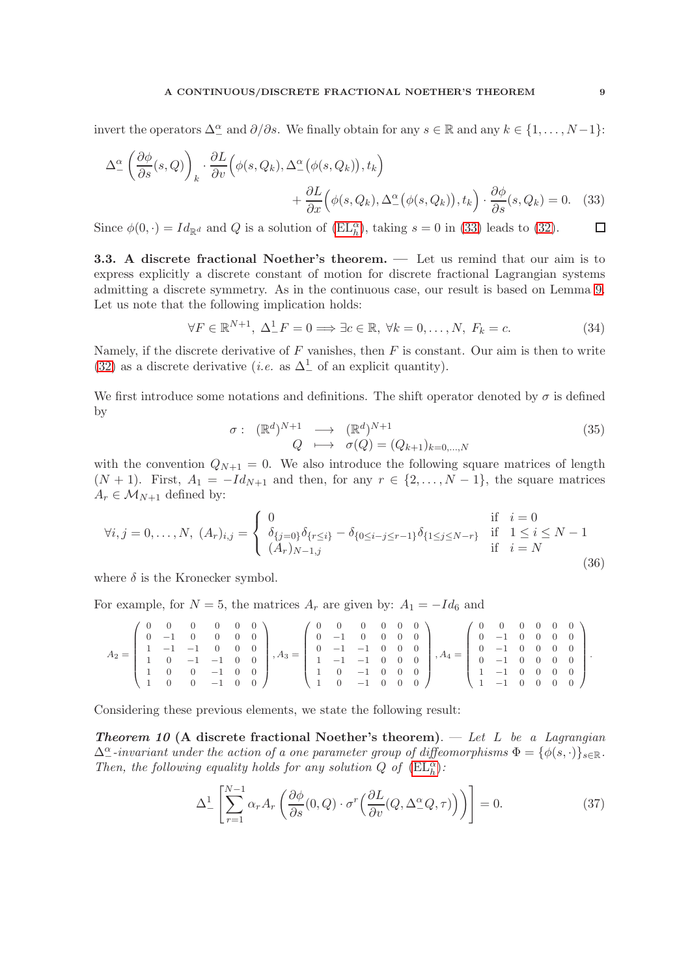## A CONTINUOUS/DISCRETE FRACTIONAL NOETHER'S THEOREM 9

invert the operators  $\Delta_-^{\alpha}$  and  $\partial/\partial s$ . We finally obtain for any  $s \in \mathbb{R}$  and any  $k \in \{1, ..., N-1\}$ :

$$
\Delta_{-}^{\alpha} \left( \frac{\partial \phi}{\partial s}(s, Q) \right)_k \cdot \frac{\partial L}{\partial v} \left( \phi(s, Q_k), \Delta_{-}^{\alpha} \left( \phi(s, Q_k) \right), t_k \right) + \frac{\partial L}{\partial x} \left( \phi(s, Q_k), \Delta_{-}^{\alpha} \left( \phi(s, Q_k) \right), t_k \right) \cdot \frac{\partial \phi}{\partial s}(s, Q_k) = 0. \quad (33)
$$

Since  $\phi(0, \cdot) = Id_{\mathbb{R}^d}$  and Q is a solution of  $(EL_h^{\alpha})$ , taking  $s = 0$  in [\(33\)](#page-8-0) leads to [\(32\)](#page-7-2).  $\Box$ 

3.3. A discrete fractional Noether's theorem. — Let us remind that our aim is to express explicitly a discrete constant of motion for discrete fractional Lagrangian systems admitting a discrete symmetry. As in the continuous case, our result is based on Lemma 9. Let us note that the following implication holds:

<span id="page-8-1"></span><span id="page-8-0"></span>
$$
\forall F \in \mathbb{R}^{N+1}, \ \Delta^1_- F = 0 \Longrightarrow \exists c \in \mathbb{R}, \ \forall k = 0, \dots, N, \ F_k = c. \tag{34}
$$

Namely, if the discrete derivative of  $F$  vanishes, then  $F$  is constant. Our aim is then to write [\(32\)](#page-7-2) as a discrete derivative (*i.e.* as  $\Delta^1$  of an explicit quantity).

We first introduce some notations and definitions. The shift operator denoted by  $\sigma$  is defined by

$$
\begin{array}{rcl}\n\sigma: & (\mathbb{R}^d)^{N+1} & \longrightarrow & (\mathbb{R}^d)^{N+1} \\
Q & \longmapsto & \sigma(Q) = (Q_{k+1})_{k=0,\dots,N}\n\end{array} \tag{35}
$$

with the convention  $Q_{N+1} = 0$ . We also introduce the following square matrices of length  $(N + 1)$ . First,  $A_1 = -Id_{N+1}$  and then, for any  $r \in \{2, ..., N-1\}$ , the square matrices  $A_r \in \mathcal{M}_{N+1}$  defined by:

$$
\forall i, j = 0, ..., N, (A_r)_{i,j} = \begin{cases} 0 & \text{if } i = 0\\ \delta_{\{j=0\}} \delta_{\{r \le i\}} - \delta_{\{0 \le i-j \le r-1\}} \delta_{\{1 \le j \le N-r\}} & \text{if } 1 \le i \le N-1\\ (A_r)_{N-1,j} & \text{if } i = N \end{cases}
$$
(36)

where  $\delta$  is the Kronecker symbol.

For example, for  $N = 5$ , the matrices  $A_r$  are given by:  $A_1 = -Id_6$  and

$$
A_2=\left(\begin{array}{cccccc} 0 & 0 & 0 & 0 & 0 & 0 \\ 0 & -1 & 0 & 0 & 0 & 0 \\ 1 & -1 & -1 & 0 & 0 & 0 \\ 1 & 0 & -1 & -1 & 0 & 0 \\ 1 & 0 & 0 & -1 & 0 & 0 \\ 1 & 0 & 0 & -1 & 0 & 0 \end{array}\right), A_3=\left(\begin{array}{cccccc} 0 & 0 & 0 & 0 & 0 & 0 \\ 0 & -1 & 0 & 0 & 0 & 0 \\ 0 & -1 & -1 & 0 & 0 & 0 \\ 1 & -1 & -1 & 0 & 0 & 0 \\ 1 & 0 & -1 & 0 & 0 & 0 \\ 1 & 0 & -1 & 0 & 0 & 0 \end{array}\right), A_4=\left(\begin{array}{cccccc} 0 & 0 & 0 & 0 & 0 & 0 \\ 0 & -1 & 0 & 0 & 0 & 0 \\ 0 & -1 & 0 & 0 & 0 & 0 \\ 0 & -1 & 0 & 0 & 0 & 0 \\ 1 & -1 & 0 & 0 & 0 & 0 \\ 1 & -1 & 0 & 0 & 0 & 0 \end{array}\right).
$$

Considering these previous elements, we state the following result:

**Theorem 10 (A discrete fractional Noether's theorem).** — Let L be a Lagrangian  $\Delta^{\alpha}_{-}$ -invariant under the action of a one parameter group of diffeomorphisms  $\Phi = {\phi(s, \cdot)}_{s \in \mathbb{R}}$ . Then, the following equality holds for any solution  $Q$  of  $(\mathrm{EL}_h^{\alpha})$ :

<span id="page-8-2"></span>
$$
\Delta_{-}^{1}\left[\sum_{r=1}^{N-1}\alpha_{r}A_{r}\left(\frac{\partial\phi}{\partial s}(0,Q)\cdot\sigma^{r}\left(\frac{\partial L}{\partial v}(Q,\Delta_{-}^{\alpha}Q,\tau)\right)\right)\right]=0.
$$
\n(37)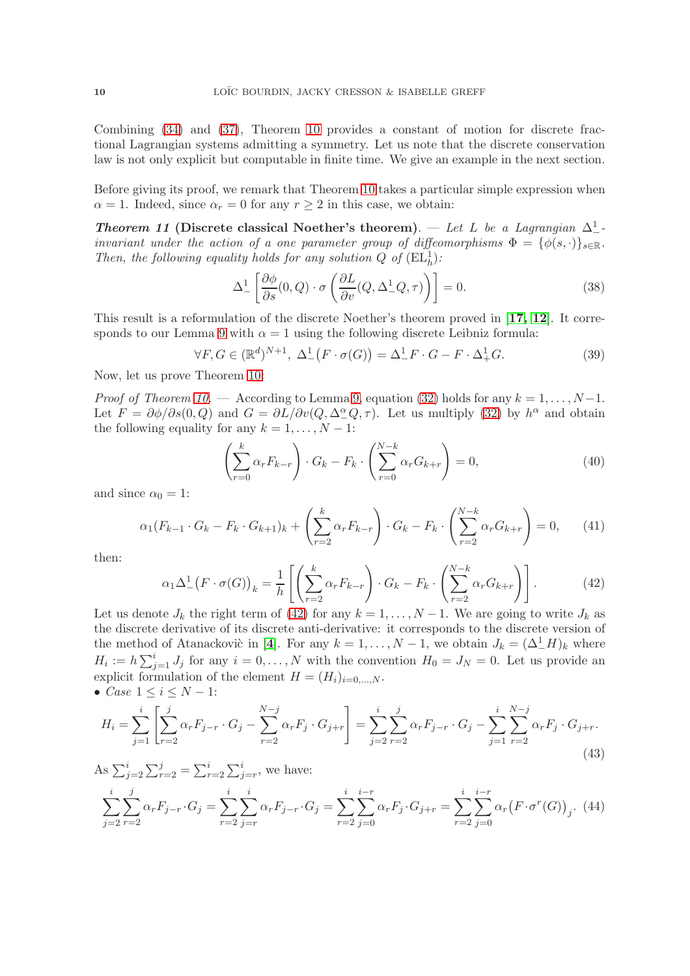Combining [\(34\)](#page-8-1) and [\(37\)](#page-8-2), Theorem 10 provides a constant of motion for discrete fractional Lagrangian systems admitting a symmetry. Let us note that the discrete conservation law is not only explicit but computable in finite time. We give an example in the next section.

Before giving its proof, we remark that Theorem 10 takes a particular simple expression when  $\alpha = 1$ . Indeed, since  $\alpha_r = 0$  for any  $r \geq 2$  in this case, we obtain:

Theorem 11 (Discrete classical Noether's theorem). — Let L be a Lagrangian  $\Delta^1$ invariant under the action of a one parameter group of diffeomorphisms  $\Phi = {\phi(s, \cdot)}_{s \in \mathbb{R}}$ . Then, the following equality holds for any solution  $Q$  of  $(\mathrm{EL}_h^1)$ :

$$
\Delta_{-}^{1}\left[\frac{\partial\phi}{\partial s}(0,Q)\cdot\sigma\left(\frac{\partial L}{\partial v}(Q,\Delta_{-}^{1}Q,\tau)\right)\right]=0.
$$
\n(38)

This result is a reformulation of the discrete Noether's theorem proved in [[17,](#page-12-17) [12](#page-12-18)]. It corresponds to our Lemma 9 with  $\alpha = 1$  using the following discrete Leibniz formula:

<span id="page-9-1"></span>
$$
\forall F, G \in (\mathbb{R}^d)^{N+1}, \ \Delta^1_-(F \cdot \sigma(G)) = \Delta^1_- F \cdot G - F \cdot \Delta^1_+ G. \tag{39}
$$

Now, let us prove Theorem 10:

*Proof of Theorem 10.* — According to Lemma 9, equation [\(32\)](#page-7-2) holds for any  $k = 1, ..., N-1$ . Let  $F = \partial \phi / \partial s(0, Q)$  and  $G = \partial L / \partial v(Q, \Delta^{\alpha}_{-}Q, \tau)$ . Let us multiply [\(32\)](#page-7-2) by  $h^{\alpha}$  and obtain the following equality for any  $k = 1, \ldots, N - 1$ :

$$
\left(\sum_{r=0}^{k} \alpha_r F_{k-r}\right) \cdot G_k - F_k \cdot \left(\sum_{r=0}^{N-k} \alpha_r G_{k+r}\right) = 0,\tag{40}
$$

and since  $\alpha_0 = 1$ :

$$
\alpha_1(F_{k-1} \cdot G_k - F_k \cdot G_{k+1})_k + \left(\sum_{r=2}^k \alpha_r F_{k-r}\right) \cdot G_k - F_k \cdot \left(\sum_{r=2}^{N-k} \alpha_r G_{k+r}\right) = 0, \qquad (41)
$$

then:

<span id="page-9-0"></span>
$$
\alpha_1 \Delta_-^1 \left( F \cdot \sigma(G) \right)_k = \frac{1}{h} \left[ \left( \sum_{r=2}^k \alpha_r F_{k-r} \right) \cdot G_k - F_k \cdot \left( \sum_{r=2}^{N-k} \alpha_r G_{k+r} \right) \right]. \tag{42}
$$

Let us denote  $J_k$  the right term of [\(42\)](#page-9-0) for any  $k = 1, \ldots, N-1$ . We are going to write  $J_k$  as the discrete derivative of its discrete anti-derivative: it corresponds to the discrete version of the method of Atanackovic in [[4](#page-12-14)]. For any  $k = 1, ..., N - 1$ , we obtain  $J_k = (\Delta^1_- H)_k$  where  $H_i := h \sum_{j=1}^i J_j$  for any  $i = 0, ..., N$  with the convention  $H_0 = J_N = 0$ . Let us provide an explicit formulation of the element  $H = (H_i)_{i=0,\dots,N}$ . •  $Case 1 \le i \le N - 1$ :

$$
H_i = \sum_{j=1}^{i} \left[ \sum_{r=2}^{j} \alpha_r F_{j-r} \cdot G_j - \sum_{r=2}^{N-j} \alpha_r F_j \cdot G_{j+r} \right] = \sum_{j=2}^{i} \sum_{r=2}^{j} \alpha_r F_{j-r} \cdot G_j - \sum_{j=1}^{i} \sum_{r=2}^{N-j} \alpha_r F_j \cdot G_{j+r}.
$$
\n(43)

As 
$$
\sum_{j=2}^{i} \sum_{r=2}^{j} = \sum_{r=2}^{i} \sum_{j=r}^{i}
$$
, we have:  
\n
$$
\sum_{j=2}^{i} \sum_{r=2}^{j} \alpha_{r} F_{j-r} \cdot G_{j} = \sum_{r=2}^{i} \sum_{j=r}^{i} \alpha_{r} F_{j-r} \cdot G_{j} = \sum_{r=2}^{i} \sum_{j=0}^{i-r} \alpha_{r} F_{j} \cdot G_{j+r} = \sum_{r=2}^{i} \sum_{j=0}^{i-r} \alpha_{r} (F \cdot \sigma^{r}(G))_{j}.
$$
 (44)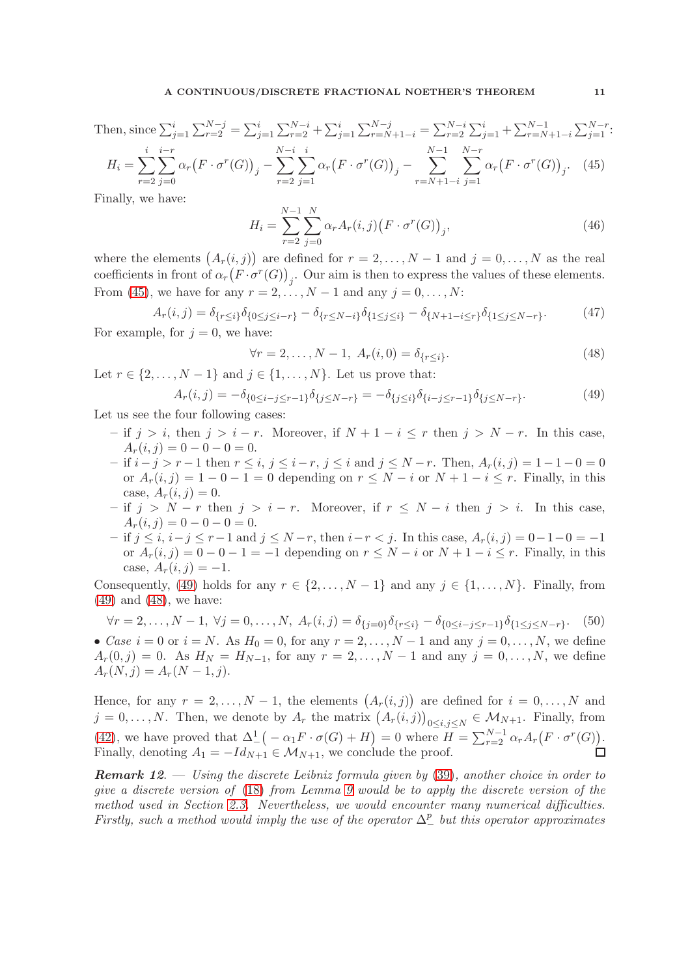Then, since  $\sum_{j=1}^{i} \sum_{r=2}^{N-j} = \sum_{j=1}^{i} \sum_{r=2}^{N-i} + \sum_{j=1}^{i} \sum_{r=N+1-i}^{N-j} = \sum_{r=2}^{N-i} \sum_{j=1}^{i} + \sum_{r=N+1-i}^{N-1} \sum_{j=1}^{N-r}$ :  $H_i = \sum$ i  $r=2$  $\sum$ i−r  $j=0$  $\alpha_r(F\cdot\sigma^r(G))_j$  –  $\sum^{N-i}$  $r=2$  $\sum$ i  $j=1$  $\alpha_r(F\cdot\sigma^r(G))_j$  –  $\sum^{N-1}$  $r=N+1-i$  $\sum^{N-r}$  $j=1$  $\alpha_r(F \cdot \sigma^r(G))_j$ . (45)

<span id="page-10-0"></span>Finally, we have:

$$
H_i = \sum_{r=2}^{N-1} \sum_{j=0}^{N} \alpha_r A_r(i,j) \big( F \cdot \sigma^r(G) \big)_j,
$$
\n(46)

where the elements  $(A_r(i,j))$  are defined for  $r = 2, \ldots, N-1$  and  $j = 0, \ldots, N$  as the real coefficients in front of  $\alpha_r(F \cdot \sigma^r(G))_j$ . Our aim is then to express the values of these elements. From [\(45\)](#page-10-0), we have for any  $r = 2, ..., N - 1$  and any  $j = 0, ..., N$ :

$$
A_r(i,j) = \delta_{\{r \le i\}} \delta_{\{0 \le j \le i-r\}} - \delta_{\{r \le N-i\}} \delta_{\{1 \le j \le i\}} - \delta_{\{N+1-i \le r\}} \delta_{\{1 \le j \le N-r\}}.
$$
(47)

For example, for  $j = 0$ , we have:

<span id="page-10-2"></span>
$$
\forall r = 2, \dots, N - 1, \ A_r(i, 0) = \delta_{\{r \le i\}}.
$$
\n(48)

Let  $r \in \{2, \ldots, N-1\}$  and  $j \in \{1, \ldots, N\}$ . Let us prove that:

<span id="page-10-1"></span>
$$
A_r(i,j) = -\delta_{\{0 \le i-j \le r-1\}} \delta_{\{j \le N-r\}} = -\delta_{\{j \le i\}} \delta_{\{i-j \le r-1\}} \delta_{\{j \le N-r\}}.
$$
\n(49)

Let us see the four following cases:

- if  $j > i$ , then  $j > i r$ . Moreover, if  $N + 1 i \leq r$  then  $j > N r$ . In this case,  $A_r(i, j) = 0 - 0 - 0 = 0.$
- $-$  if  $i-j > r-1$  then  $r \leq i, j \leq i-r, j \leq i$  and  $j \leq N-r$ . Then,  $A_r(i,j) = 1-1-0=0$ or  $A_r(i, j) = 1 - 0 - 1 = 0$  depending on  $r \leq N - i$  or  $N + 1 - i \leq r$ . Finally, in this case,  $A_r(i, j) = 0$ .
- $-$  if j > N − r then j > i − r. Moreover, if  $r \leq N i$  then j > i. In this case,  $A_r(i, j) = 0 - 0 - 0 = 0.$
- $-$  if  $j \le i$ ,  $i-j \le r-1$  and  $j \le N-r$ , then  $i-r < j$ . In this case,  $A_r(i,j) = 0-1-0 = -1$ or  $A_r(i, j) = 0 - 0 - 1 = -1$  depending on  $r \le N - i$  or  $N + 1 - i \le r$ . Finally, in this case,  $A_r(i, j) = -1$ .

Consequently, [\(49\)](#page-10-1) holds for any  $r \in \{2, ..., N-1\}$  and any  $j \in \{1, ..., N\}$ . Finally, from [\(49\)](#page-10-1) and [\(48\)](#page-10-2), we have:

$$
\forall r = 2, \dots, N - 1, \ \forall j = 0, \dots, N, \ A_r(i, j) = \delta_{\{j = 0\}} \delta_{\{r \le i\}} - \delta_{\{0 \le i - j \le r - 1\}} \delta_{\{1 \le j \le N - r\}}. \tag{50}
$$

• Case  $i = 0$  or  $i = N$ . As  $H_0 = 0$ , for any  $r = 2, \ldots, N - 1$  and any  $j = 0, \ldots, N$ , we define  $A_r(0, j) = 0$ . As  $H_N = H_{N-1}$ , for any  $r = 2, ..., N-1$  and any  $j = 0, ..., N$ , we define  $A_r(N, j) = A_r(N - 1, j).$ 

Hence, for any  $r = 2, \ldots, N-1$ , the elements  $(A_r(i,j))$  are defined for  $i = 0, \ldots, N$  and  $j = 0, \ldots, N$ . Then, we denote by  $A_r$  the matrix  $(A_r(i,j))_{0 \le i,j \le N} \in M_{N+1}$ . Finally, from [\(42\)](#page-9-0), we have proved that  $\Delta^1_-\big(-\alpha_1 F \cdot \sigma(G) + H\big) = 0$  where  $H = \sum_{r=2}^{N-1} \alpha_r A_r\big(F \cdot \sigma^r(G)\big)$ . Finally, denoting  $A_1 = -Id_{N+1} \in \mathcal{M}_{N+1}$ , we conclude the proof. П

**Remark 12.**  $\blacksquare$  Using the discrete Leibniz formula given by [\(39\)](#page-9-1), another choice in order to give a discrete version of [\(18\)](#page-4-0) from Lemma 9 would be to apply the discrete version of the method used in Section [2.3.](#page-3-3) Nevertheless, we would encounter many numerical difficulties. Firstly, such a method would imply the use of the operator  $\Delta_{-}^{p}$  but this operator approximates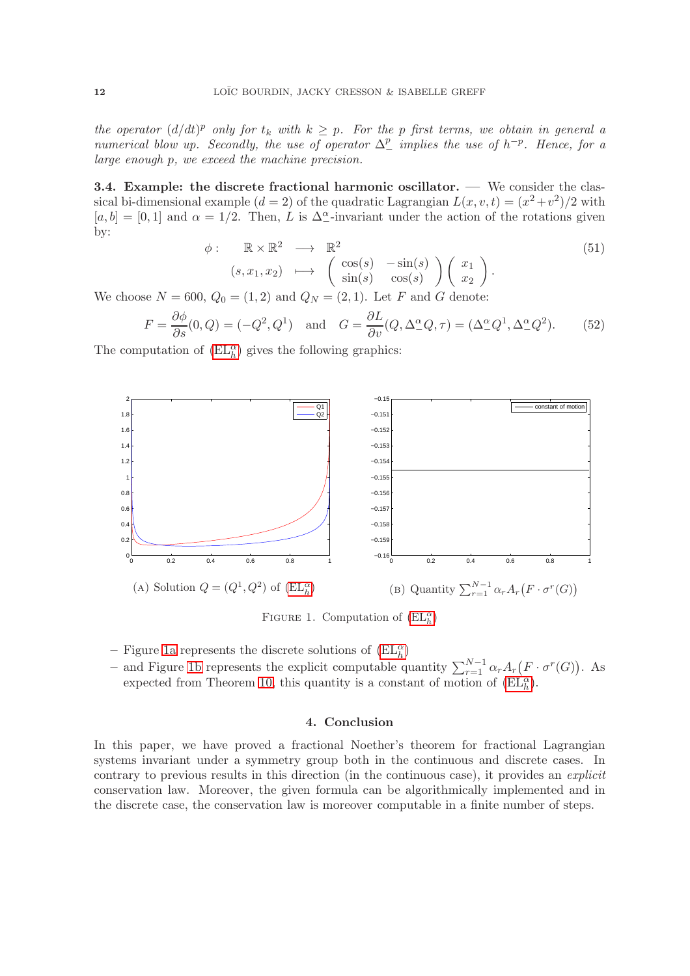the operator  $(d/dt)^p$  only for  $t_k$  with  $k \geq p$ . For the p first terms, we obtain in general a numerical blow up. Secondly, the use of operator  $\Delta_-^p$  implies the use of  $h^{-p}$ . Hence, for a large enough p, we exceed the machine precision.

3.4. Example: the discrete fractional harmonic oscillator. — We consider the classical bi-dimensional example  $(d = 2)$  of the quadratic Lagrangian  $L(x, v, t) = (x^2 + v^2)/2$  with  $[a, b] = [0, 1]$  and  $\alpha = 1/2$ . Then, L is  $\Delta^{\alpha}$ -invariant under the action of the rotations given by:

$$
\phi: \mathbb{R} \times \mathbb{R}^2 \longrightarrow \mathbb{R}^2
$$
  
\n
$$
(s, x_1, x_2) \longmapsto \begin{pmatrix} \cos(s) & -\sin(s) \\ \sin(s) & \cos(s) \end{pmatrix} \begin{pmatrix} x_1 \\ x_2 \end{pmatrix}.
$$
  
\n(51)

We choose  $N = 600, Q_0 = (1, 2)$  and  $Q_N = (2, 1)$ . Let F and G denote:

$$
F = \frac{\partial \phi}{\partial s}(0, Q) = (-Q^2, Q^1) \quad \text{and} \quad G = \frac{\partial L}{\partial v}(Q, \Delta_-^{\alpha} Q, \tau) = (\Delta_-^{\alpha} Q^1, \Delta_-^{\alpha} Q^2). \tag{52}
$$

<span id="page-11-0"></span>The computation of  $(\mathrm{EL}_h^{\alpha})$  gives the following graphics:



<span id="page-11-1"></span>FIGURE 1. Computation of  $(EL_h^{\alpha})$ 

- $-$  Figure [1a](#page-11-0) represents the discrete solutions of  $(\mathrm{EL}^\alpha_h)$
- and Figure [1b](#page-11-1) represents the explicit computable quantity  $\sum_{r=1}^{N-1} \alpha_r A_r(F \cdot \sigma^r(G))$ . As expected from Theorem 10, this quantity is a constant of motion of  $(\mathrm{EL}_h^{\alpha})$ .

## 4. Conclusion

In this paper, we have proved a fractional Noether's theorem for fractional Lagrangian systems invariant under a symmetry group both in the continuous and discrete cases. In contrary to previous results in this direction (in the continuous case), it provides an *explicit* conservation law. Moreover, the given formula can be algorithmically implemented and in the discrete case, the conservation law is moreover computable in a finite number of steps.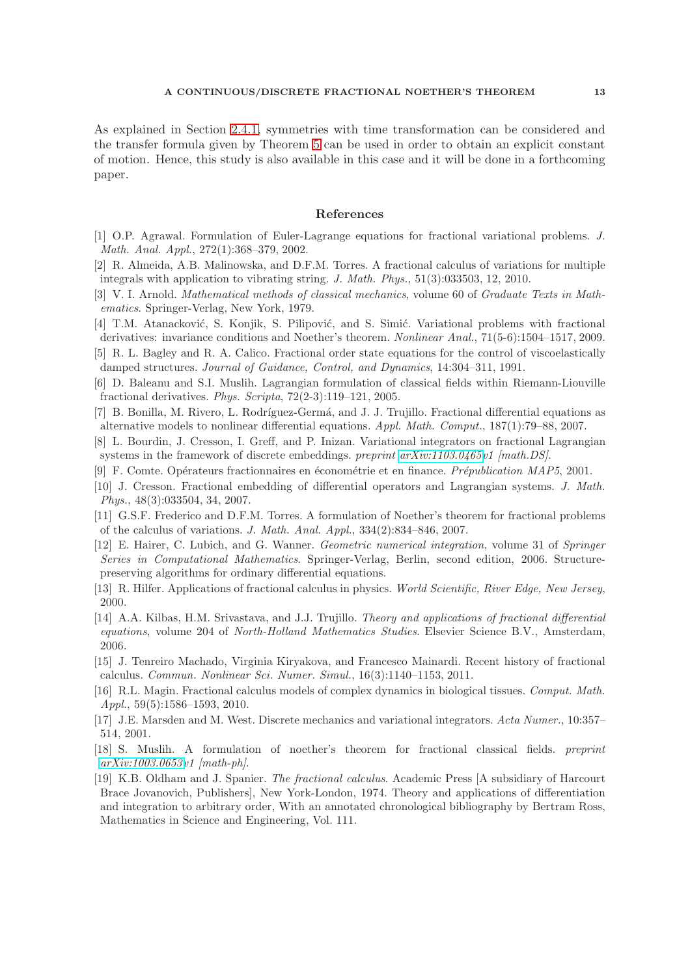As explained in Section [2.4.1,](#page-4-1) symmetries with time transformation can be considered and the transfer formula given by Theorem 5 can be used in order to obtain an explicit constant of motion. Hence, this study is also available in this case and it will be done in a forthcoming paper.

## References

- <span id="page-12-9"></span>[1] O.P. Agrawal. Formulation of Euler-Lagrange equations for fractional variational problems. J. Math. Anal. Appl., 272(1):368–379, 2002.
- <span id="page-12-4"></span>[2] R. Almeida, A.B. Malinowska, and D.F.M. Torres. A fractional calculus of variations for multiple integrals with application to vibrating string. J. Math. Phys., 51(3):033503, 12, 2010.
- <span id="page-12-16"></span>[3] V. I. Arnold. Mathematical methods of classical mechanics, volume 60 of Graduate Texts in Mathematics. Springer-Verlag, New York, 1979.
- <span id="page-12-14"></span>[4] T.M. Atanacković, S. Konjik, S. Pilipović, and S. Simić. Variational problems with fractional derivatives: invariance conditions and Noether's theorem. Nonlinear Anal., 71(5-6):1504–1517, 2009.
- <span id="page-12-2"></span>[5] R. L. Bagley and R. A. Calico. Fractional order state equations for the control of viscoelastically damped structures. Journal of Guidance, Control, and Dynamics, 14:304–311, 1991.
- <span id="page-12-10"></span>[6] D. Baleanu and S.I. Muslih. Lagrangian formulation of classical fields within Riemann-Liouville fractional derivatives. Phys. Scripta, 72(2-3):119–121, 2005.
- <span id="page-12-5"></span>[7] B. Bonilla, M. Rivero, L. Rodríguez-Germá, and J. J. Trujillo. Fractional differential equations as alternative models to nonlinear differential equations. Appl. Math. Comput., 187(1):79–88, 2007.
- <span id="page-12-11"></span>[8] L. Bourdin, J. Cresson, I. Greff, and P. Inizan. Variational integrators on fractional Lagrangian systems in the framework of discrete embeddings. preprint [arXiv:1103.0465v](http://arxiv.org/abs/1103.0465)1 [math.DS].
- <span id="page-12-12"></span><span id="page-12-0"></span>[9] F. Comte. Opérateurs fractionnaires en économétrie et en finance. *Prépublication MAP5*, 2001.
- [10] J. Cresson. Fractional embedding of differential operators and Lagrangian systems. J. Math. Phys., 48(3):033504, 34, 2007.
- <span id="page-12-13"></span>[11] G.S.F. Frederico and D.F.M. Torres. A formulation of Noether's theorem for fractional problems of the calculus of variations. J. Math. Anal. Appl., 334(2):834–846, 2007.
- <span id="page-12-18"></span>[12] E. Hairer, C. Lubich, and G. Wanner. Geometric numerical integration, volume 31 of Springer Series in Computational Mathematics. Springer-Verlag, Berlin, second edition, 2006. Structurepreserving algorithms for ordinary differential equations.
- <span id="page-12-7"></span><span id="page-12-3"></span>[13] R. Hilfer. Applications of fractional calculus in physics. World Scientific, River Edge, New Jersey, 2000.
- [14] A.A. Kilbas, H.M. Srivastava, and J.J. Trujillo. Theory and applications of fractional differential equations, volume 204 of North-Holland Mathematics Studies. Elsevier Science B.V., Amsterdam, 2006.
- <span id="page-12-8"></span>[15] J. Tenreiro Machado, Virginia Kiryakova, and Francesco Mainardi. Recent history of fractional calculus. Commun. Nonlinear Sci. Numer. Simul., 16(3):1140–1153, 2011.
- <span id="page-12-1"></span>[16] R.L. Magin. Fractional calculus models of complex dynamics in biological tissues. Comput. Math. Appl., 59(5):1586–1593, 2010.
- <span id="page-12-17"></span>[17] J.E. Marsden and M. West. Discrete mechanics and variational integrators. Acta Numer., 10:357– 514, 2001.
- <span id="page-12-15"></span>[18] S. Muslih. A formulation of noether's theorem for fractional classical fields. preprint [arXiv:1003.0653v](http://arxiv.org/abs/1003.0653)1 [math-ph].
- <span id="page-12-6"></span>[19] K.B. Oldham and J. Spanier. The fractional calculus. Academic Press [A subsidiary of Harcourt Brace Jovanovich, Publishers], New York-London, 1974. Theory and applications of differentiation and integration to arbitrary order, With an annotated chronological bibliography by Bertram Ross, Mathematics in Science and Engineering, Vol. 111.